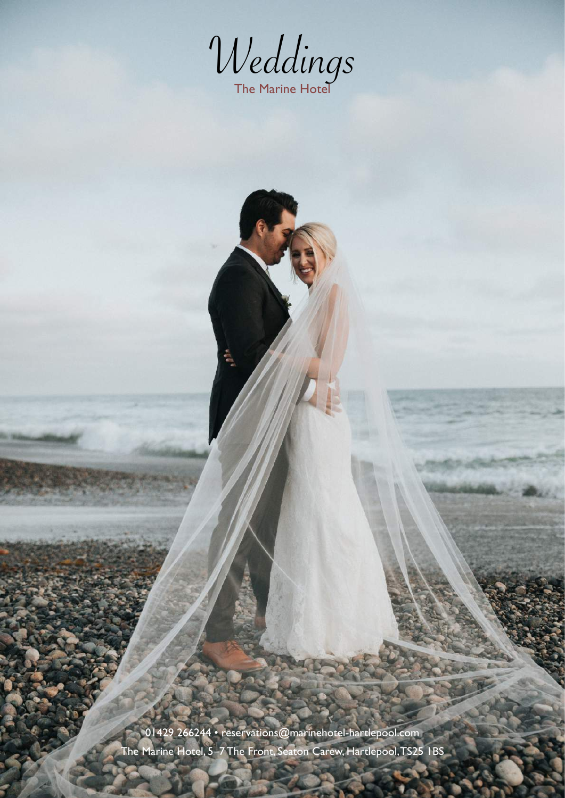

01429 266244 • [reservations@marinehotel-hartlepool.com](mailto:reservations@marinehotel-hartlepool.com) The Marine Hotel, 5–7 The Front, Seaton Carew, Hartlepool, TS25 1BS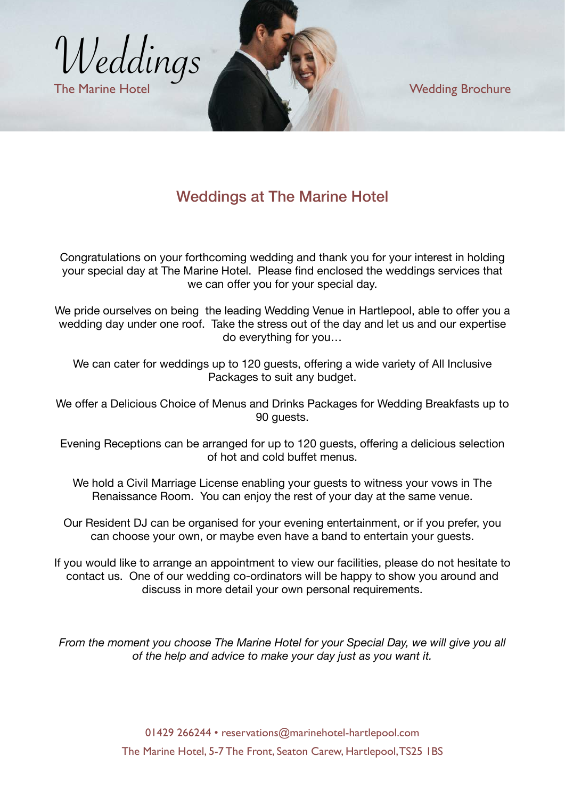

# Weddings at The Marine Hotel

Congratulations on your forthcoming wedding and thank you for your interest in holding your special day at The Marine Hotel. Please find enclosed the weddings services that we can offer you for your special day.

We pride ourselves on being the leading Wedding Venue in Hartlepool, able to offer you a wedding day under one roof. Take the stress out of the day and let us and our expertise do everything for you…

We can cater for weddings up to 120 guests, offering a wide variety of All Inclusive Packages to suit any budget.

We offer a Delicious Choice of Menus and Drinks Packages for Wedding Breakfasts up to 90 guests.

Evening Receptions can be arranged for up to 120 guests, offering a delicious selection of hot and cold buffet menus.

We hold a Civil Marriage License enabling your guests to witness your vows in The Renaissance Room. You can enjoy the rest of your day at the same venue.

Our Resident DJ can be organised for your evening entertainment, or if you prefer, you can choose your own, or maybe even have a band to entertain your guests.

If you would like to arrange an appointment to view our facilities, please do not hesitate to contact us. One of our wedding co-ordinators will be happy to show you around and discuss in more detail your own personal requirements.

*From the moment you choose The Marine Hotel for your Special Day, we will give you all of the help and advice to make your day just as you want it.*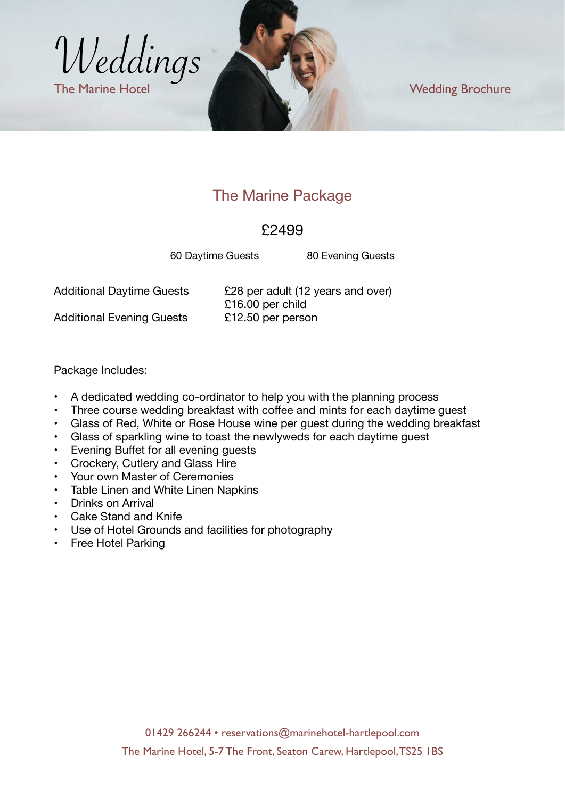

# The Marine Package

#### £2499

60 Daytime Guests 80 Evening Guests

Additional Daytime Guests E28 per adult (12 years and over) £16.00 per child Additional Evening Guests <br>
£12.50 per person

Package Includes:

- A dedicated wedding co-ordinator to help you with the planning process
- Three course wedding breakfast with coffee and mints for each daytime guest
- Glass of Red, White or Rose House wine per guest during the wedding breakfast
- Glass of sparkling wine to toast the newlyweds for each daytime guest
- Evening Buffet for all evening guests
- Crockery, Cutlery and Glass Hire
- Your own Master of Ceremonies
- Table Linen and White Linen Napkins
- Drinks on Arrival
- Cake Stand and Knife
- Use of Hotel Grounds and facilities for photography
- Free Hotel Parking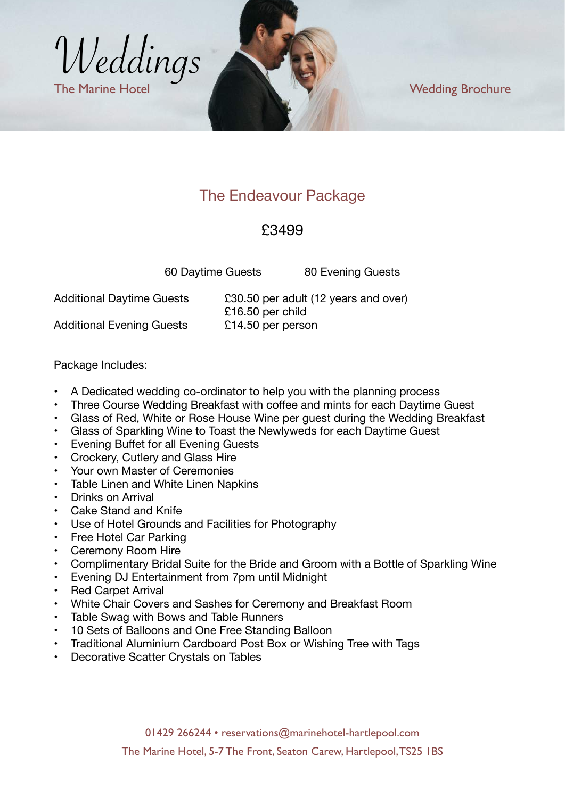

# The Endeavour Package

### £3499

60 Daytime Guests 80 Evening Guests

Additional Daytime Guests E30.50 per adult (12 years and over) £16.50 per child Additional Evening Guests £14.50 per person

Package Includes:

- A Dedicated wedding co-ordinator to help you with the planning process
- Three Course Wedding Breakfast with coffee and mints for each Daytime Guest
- Glass of Red, White or Rose House Wine per guest during the Wedding Breakfast
- Glass of Sparkling Wine to Toast the Newlyweds for each Daytime Guest
- Evening Buffet for all Evening Guests
- Crockery, Cutlery and Glass Hire
- Your own Master of Ceremonies
- Table Linen and White Linen Napkins
- Drinks on Arrival
- Cake Stand and Knife
- Use of Hotel Grounds and Facilities for Photography<br>• Free Hotel Car Parking
- Free Hotel Car Parking
- Ceremony Room Hire
- Complimentary Bridal Suite for the Bride and Groom with a Bottle of Sparkling Wine
- Evening DJ Entertainment from 7pm until Midnight
- Red Carpet Arrival
- White Chair Covers and Sashes for Ceremony and Breakfast Room
- Table Swag with Bows and Table Runners
- 10 Sets of Balloons and One Free Standing Balloon
- Traditional Aluminium Cardboard Post Box or Wishing Tree with Tags
- Decorative Scatter Crystals on Tables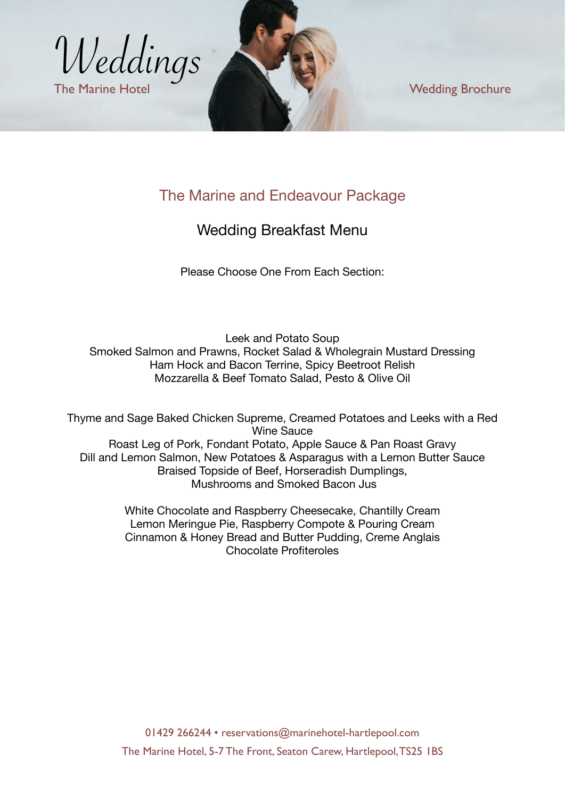

# The Marine and Endeavour Package

#### Wedding Breakfast Menu

Please Choose One From Each Section:

Leek and Potato Soup Smoked Salmon and Prawns, Rocket Salad & Wholegrain Mustard Dressing Ham Hock and Bacon Terrine, Spicy Beetroot Relish Mozzarella & Beef Tomato Salad, Pesto & Olive Oil

Thyme and Sage Baked Chicken Supreme, Creamed Potatoes and Leeks with a Red Wine Sauce Roast Leg of Pork, Fondant Potato, Apple Sauce & Pan Roast Gravy Dill and Lemon Salmon, New Potatoes & Asparagus with a Lemon Butter Sauce Braised Topside of Beef, Horseradish Dumplings, Mushrooms and Smoked Bacon Jus

> White Chocolate and Raspberry Cheesecake, Chantilly Cream Lemon Meringue Pie, Raspberry Compote & Pouring Cream Cinnamon & Honey Bread and Butter Pudding, Creme Anglais Chocolate Profiteroles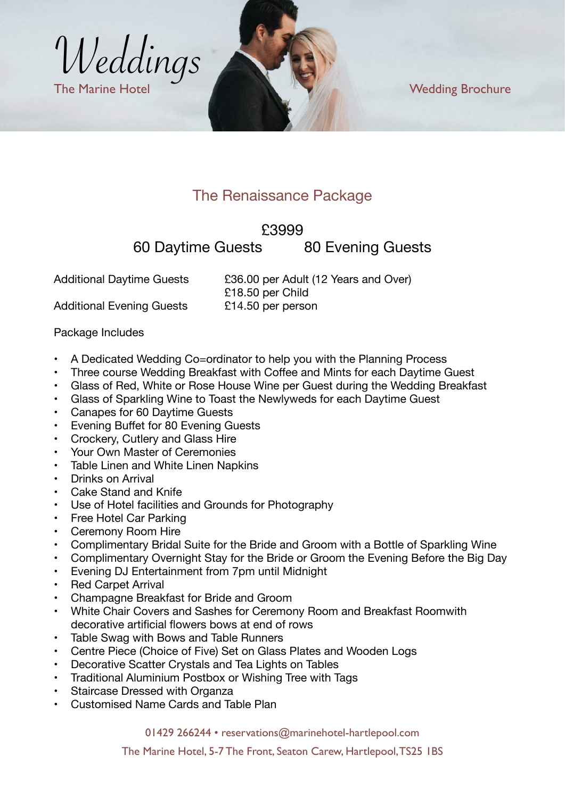

# The Renaissance Package

#### £3999

60 Daytime Guests 80 Evening Guests

Additional Daytime Guests E36.00 per Adult (12 Years and Over) £18.50 per Child Additional Evening Guests <br>
£14.50 per person

Package Includes

- A Dedicated Wedding Co=ordinator to help you with the Planning Process
- Three course Wedding Breakfast with Coffee and Mints for each Daytime Guest
- Glass of Red, White or Rose House Wine per Guest during the Wedding Breakfast
- Glass of Sparkling Wine to Toast the Newlyweds for each Daytime Guest
- Canapes for 60 Daytime Guests
- Evening Buffet for 80 Evening Guests
- Crockery, Cutlery and Glass Hire
- Your Own Master of Ceremonies
- Table Linen and White Linen Napkins<br>• Drinks on Arrival
- Drinks on Arrival
- Cake Stand and Knife
- Use of Hotel facilities and Grounds for Photography
- Free Hotel Car Parking
- Ceremony Room Hire
- Complimentary Bridal Suite for the Bride and Groom with a Bottle of Sparkling Wine<br>• Complimentary Overnight Stay for the Bride or Groom the Evening Before the Big Da
- Complimentary Overnight Stay for the Bride or Groom the Evening Before the Big Day
- Evening DJ Entertainment from 7pm until Midnight
- Red Carpet Arrival
- Champagne Breakfast for Bride and Groom
- White Chair Covers and Sashes for Ceremony Room and Breakfast Roomwith decorative artificial flowers bows at end of rows
- Table Swag with Bows and Table Runners
- Centre Piece (Choice of Five) Set on Glass Plates and Wooden Logs
- Decorative Scatter Crystals and Tea Lights on Tables
- Traditional Aluminium Postbox or Wishing Tree with Tags
- Staircase Dressed with Organza
- Customised Name Cards and Table Plan

01429 266244 • [reservations@marinehotel-hartlepool.com](mailto:reservations@marinehotel-hartlepool.com)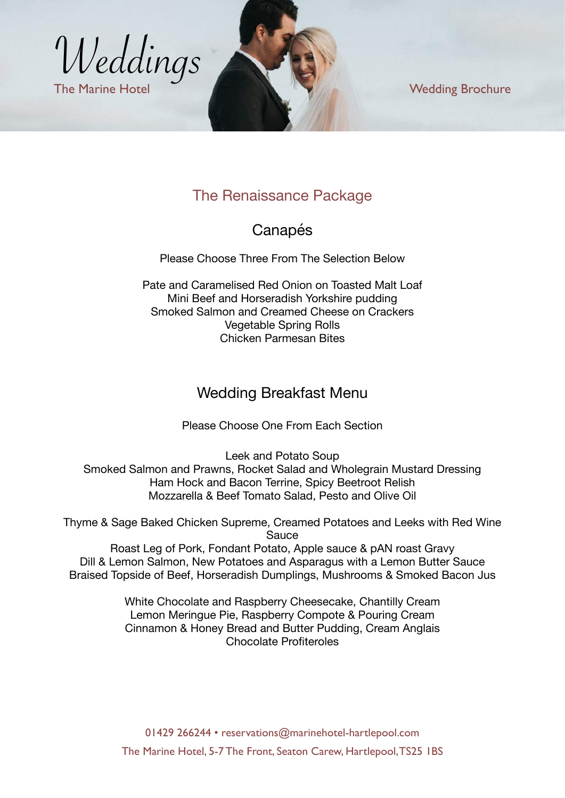

# The Renaissance Package

#### Canapés

Please Choose Three From The Selection Below

Pate and Caramelised Red Onion on Toasted Malt Loaf Mini Beef and Horseradish Yorkshire pudding Smoked Salmon and Creamed Cheese on Crackers Vegetable Spring Rolls Chicken Parmesan Bites

#### Wedding Breakfast Menu

Please Choose One From Each Section

Leek and Potato Soup Smoked Salmon and Prawns, Rocket Salad and Wholegrain Mustard Dressing Ham Hock and Bacon Terrine, Spicy Beetroot Relish Mozzarella & Beef Tomato Salad, Pesto and Olive Oil

Thyme & Sage Baked Chicken Supreme, Creamed Potatoes and Leeks with Red Wine **Sauce** 

Roast Leg of Pork, Fondant Potato, Apple sauce & pAN roast Gravy Dill & Lemon Salmon, New Potatoes and Asparagus with a Lemon Butter Sauce Braised Topside of Beef, Horseradish Dumplings, Mushrooms & Smoked Bacon Jus

> White Chocolate and Raspberry Cheesecake, Chantilly Cream Lemon Meringue Pie, Raspberry Compote & Pouring Cream Cinnamon & Honey Bread and Butter Pudding, Cream Anglais Chocolate Profiteroles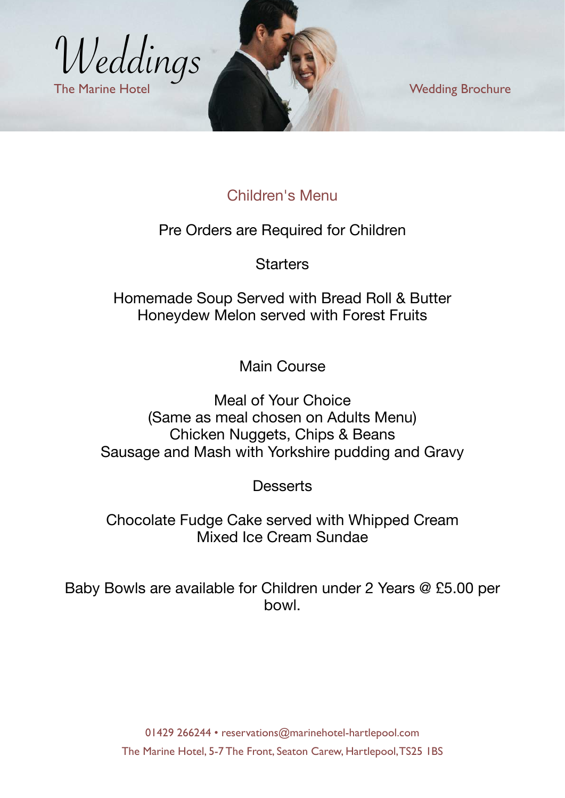

# Children's Menu

Pre Orders are Required for Children

**Starters** 

Homemade Soup Served with Bread Roll & Butter Honeydew Melon served with Forest Fruits

Main Course

Meal of Your Choice (Same as meal chosen on Adults Menu) Chicken Nuggets, Chips & Beans Sausage and Mash with Yorkshire pudding and Gravy

**Desserts** 

Chocolate Fudge Cake served with Whipped Cream Mixed Ice Cream Sundae

Baby Bowls are available for Children under 2 Years @ £5.00 per bowl.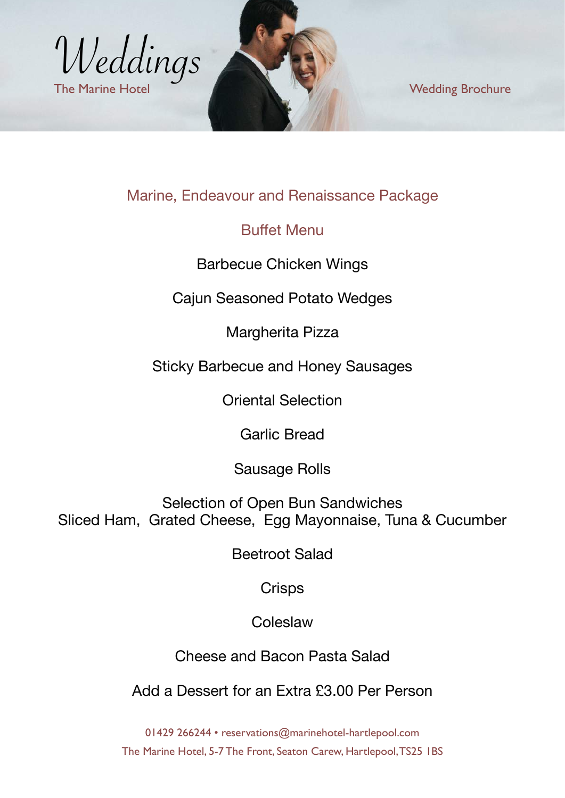

# Marine, Endeavour and Renaissance Package

#### Buffet Menu

Barbecue Chicken Wings

Cajun Seasoned Potato Wedges

Margherita Pizza

Sticky Barbecue and Honey Sausages

Oriental Selection

Garlic Bread

Sausage Rolls

Selection of Open Bun Sandwiches Sliced Ham, Grated Cheese, Egg Mayonnaise, Tuna & Cucumber

Beetroot Salad

**Crisps** 

Coleslaw

Cheese and Bacon Pasta Salad

Add a Dessert for an Extra £3.00 Per Person

01429 266244 • [reservations@marinehotel-hartlepool.com](mailto:reservations@marinehotel-hartlepool.com) The Marine Hotel, 5-7 The Front, Seaton Carew, Hartlepool, TS25 1BS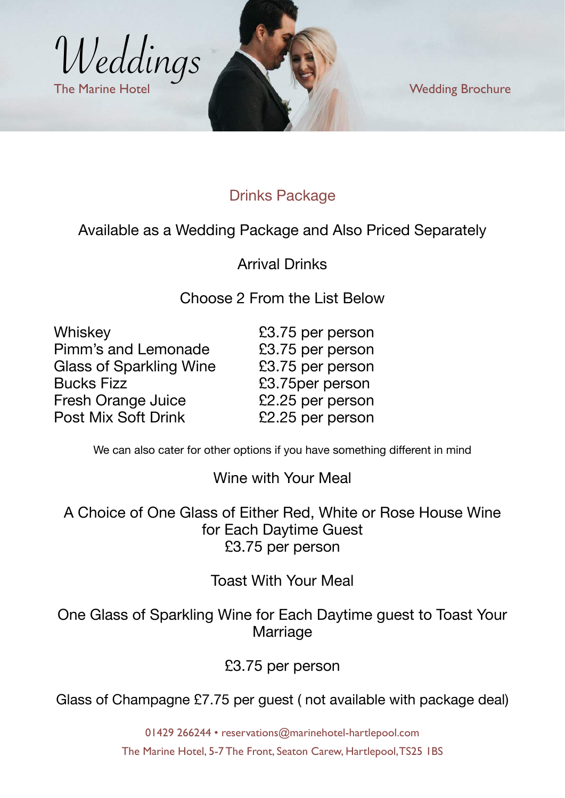

# Drinks Package

#### Available as a Wedding Package and Also Priced Separately

Arrival Drinks

Choose 2 From the List Below

| Whiskey                        |  |
|--------------------------------|--|
| Pimm's and Lemonade            |  |
| <b>Glass of Sparkling Wine</b> |  |
| <b>Bucks Fizz</b>              |  |
| <b>Fresh Orange Juice</b>      |  |
| <b>Post Mix Soft Drink</b>     |  |

 $£3.75$  per person £3.75 per person £3.75 per person £3.75per person £2.25 per person  $£2.25$  per person

We can also cater for other options if you have something different in mind

#### Wine with Your Meal

A Choice of One Glass of Either Red, White or Rose House Wine for Each Daytime Guest £3.75 per person

Toast With Your Meal

One Glass of Sparkling Wine for Each Daytime guest to Toast Your Marriage

£3.75 per person

Glass of Champagne £7.75 per guest ( not available with package deal)

01429 266244 • [reservations@marinehotel-hartlepool.com](mailto:reservations@marinehotel-hartlepool.com) The Marine Hotel, 5-7 The Front, Seaton Carew, Hartlepool, TS25 1BS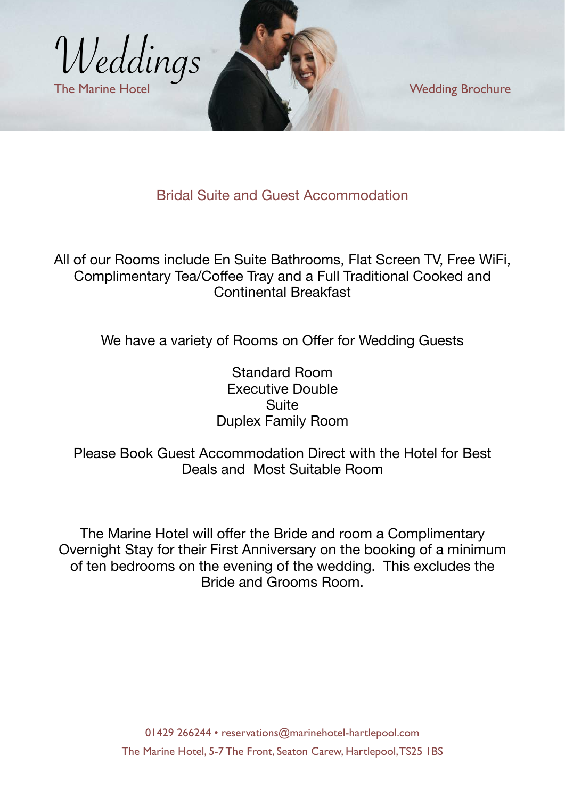

Bridal Suite and Guest Accommodation

All of our Rooms include En Suite Bathrooms, Flat Screen TV, Free WiFi, Complimentary Tea/Coffee Tray and a Full Traditional Cooked and Continental Breakfast

We have a variety of Rooms on Offer for Wedding Guests

Standard Room Executive Double **Suite** Duplex Family Room

#### Please Book Guest Accommodation Direct with the Hotel for Best Deals and Most Suitable Room

The Marine Hotel will offer the Bride and room a Complimentary Overnight Stay for their First Anniversary on the booking of a minimum of ten bedrooms on the evening of the wedding. This excludes the Bride and Grooms Room.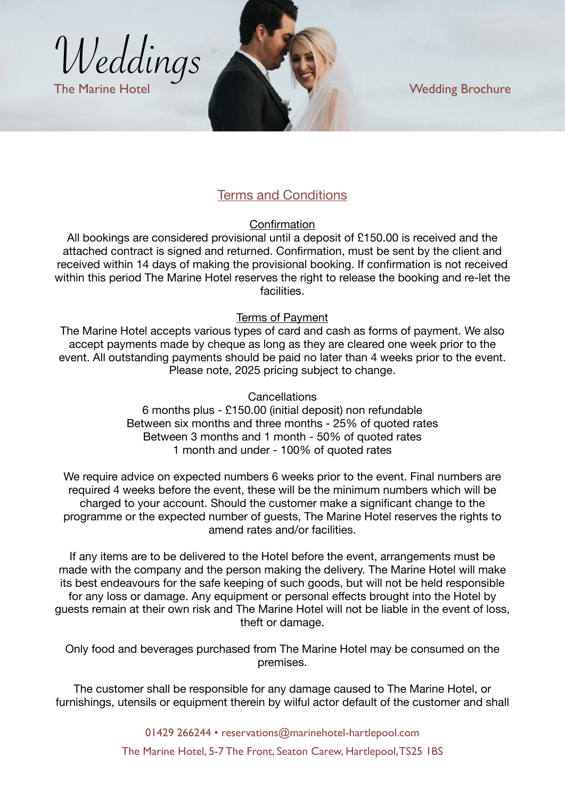

#### Terms and Conditions

**Confirmation** 

All bookings are considered provisional until a deposit of £150.00 is received and the attached contract is signed and returned. Confirmation, must be sent by the client and received within 14 days of making the provisional booking. If confirmation is not received within this period The Marine Hotel reserves the right to release the booking and re-let the facilities.

#### Terms of Payment

The Marine Hotel accepts various types of card and cash as forms of payment. We also accept payments made by cheque as long as they are cleared one week prior to the event. All outstanding payments should be paid no later than 4 weeks prior to the event. Please note, 2025 pricing subject to change.

> Cancellations 6 months plus - £150.00 (initial deposit) non refundable Between six months and three months - 25% of quoted rates Between 3 months and 1 month - 50% of quoted rates 1 month and under - 100% of quoted rates

We require advice on expected numbers 6 weeks prior to the event. Final numbers are required 4 weeks before the event, these will be the minimum numbers which will be charged to your account. Should the customer make a significant change to the programme or the expected number of guests, The Marine Hotel reserves the rights to amend rates and/or facilities.

If any items are to be delivered to the Hotel before the event, arrangements must be made with the company and the person making the delivery. The Marine Hotel will make its best endeavours for the safe keeping of such goods, but will not be held responsible for any loss or damage. Any equipment or personal effects brought into the Hotel by guests remain at their own risk and The Marine Hotel will not be liable in the event of loss, theft or damage.

Only food and beverages purchased from The Marine Hotel may be consumed on the premises.

The customer shall be responsible for any damage caused to The Marine Hotel, or furnishings, utensils or equipment therein by wilful actor default of the customer and shall

> 01429 266244 • [reservations@marinehotel-hartlepool.com](mailto:reservations@marinehotel-hartlepool.com) The Marine Hotel, 5-7 The Front, Seaton Carew, Hartlepool, TS25 1BS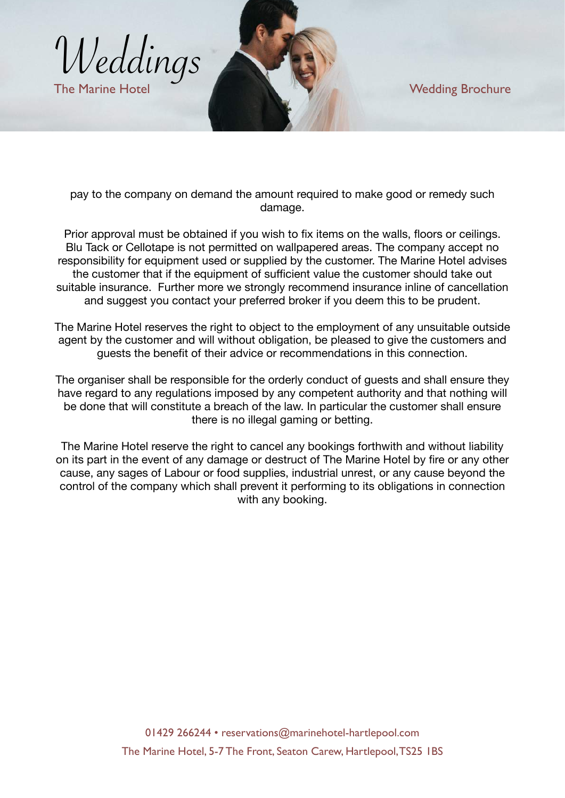

pay to the company on demand the amount required to make good or remedy such damage.

Prior approval must be obtained if you wish to fix items on the walls, floors or ceilings. Blu Tack or Cellotape is not permitted on wallpapered areas. The company accept no responsibility for equipment used or supplied by the customer. The Marine Hotel advises the customer that if the equipment of sufficient value the customer should take out suitable insurance. Further more we strongly recommend insurance inline of cancellation and suggest you contact your preferred broker if you deem this to be prudent.

The Marine Hotel reserves the right to object to the employment of any unsuitable outside agent by the customer and will without obligation, be pleased to give the customers and guests the benefit of their advice or recommendations in this connection.

The organiser shall be responsible for the orderly conduct of guests and shall ensure they have regard to any regulations imposed by any competent authority and that nothing will be done that will constitute a breach of the law. In particular the customer shall ensure there is no illegal gaming or betting.

The Marine Hotel reserve the right to cancel any bookings forthwith and without liability on its part in the event of any damage or destruct of The Marine Hotel by fire or any other cause, any sages of Labour or food supplies, industrial unrest, or any cause beyond the control of the company which shall prevent it performing to its obligations in connection with any booking.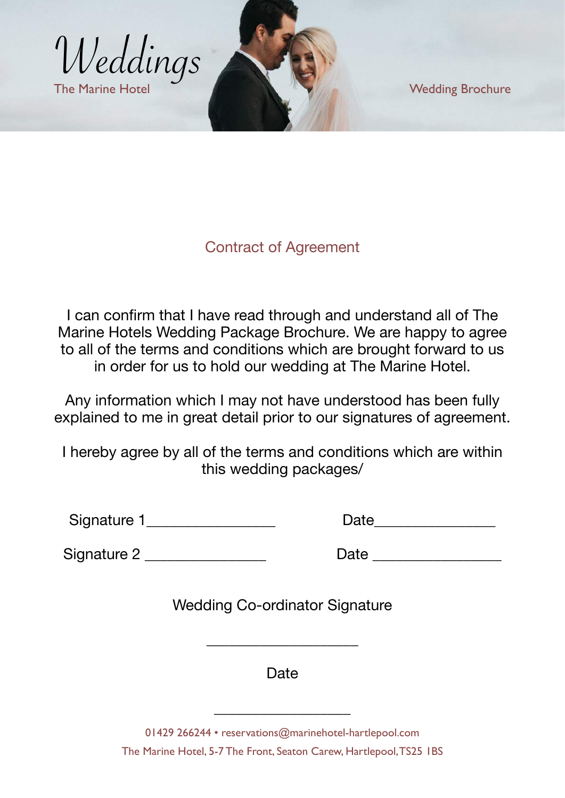

#### Contract of Agreement

I can confirm that I have read through and understand all of The Marine Hotels Wedding Package Brochure. We are happy to agree to all of the terms and conditions which are brought forward to us in order for us to hold our wedding at The Marine Hotel.

Any information which I may not have understood has been fully explained to me in great detail prior to our signatures of agreement.

I hereby agree by all of the terms and conditions which are within this wedding packages/

Signature 1\_\_\_\_\_\_\_\_\_\_\_\_\_\_\_\_\_ Date\_\_\_\_\_\_\_\_\_\_\_\_\_\_\_\_

| Date |  |
|------|--|
|      |  |

Signature 2 \_\_\_\_\_\_\_\_\_\_\_\_\_\_\_\_ Date \_\_\_\_\_\_\_\_\_\_\_\_\_\_\_\_\_

Wedding Co-ordinator Signature

**Date** 

\_\_\_\_\_\_\_\_\_\_\_\_\_\_\_\_\_\_\_\_

01429 266244 • [reservations@marinehotel-hartlepool.com](mailto:reservations@marinehotel-hartlepool.com)

\_\_\_\_\_\_\_\_\_\_\_\_\_\_\_\_\_\_

The Marine Hotel, 5-7 The Front, Seaton Carew, Hartlepool, TS25 1BS